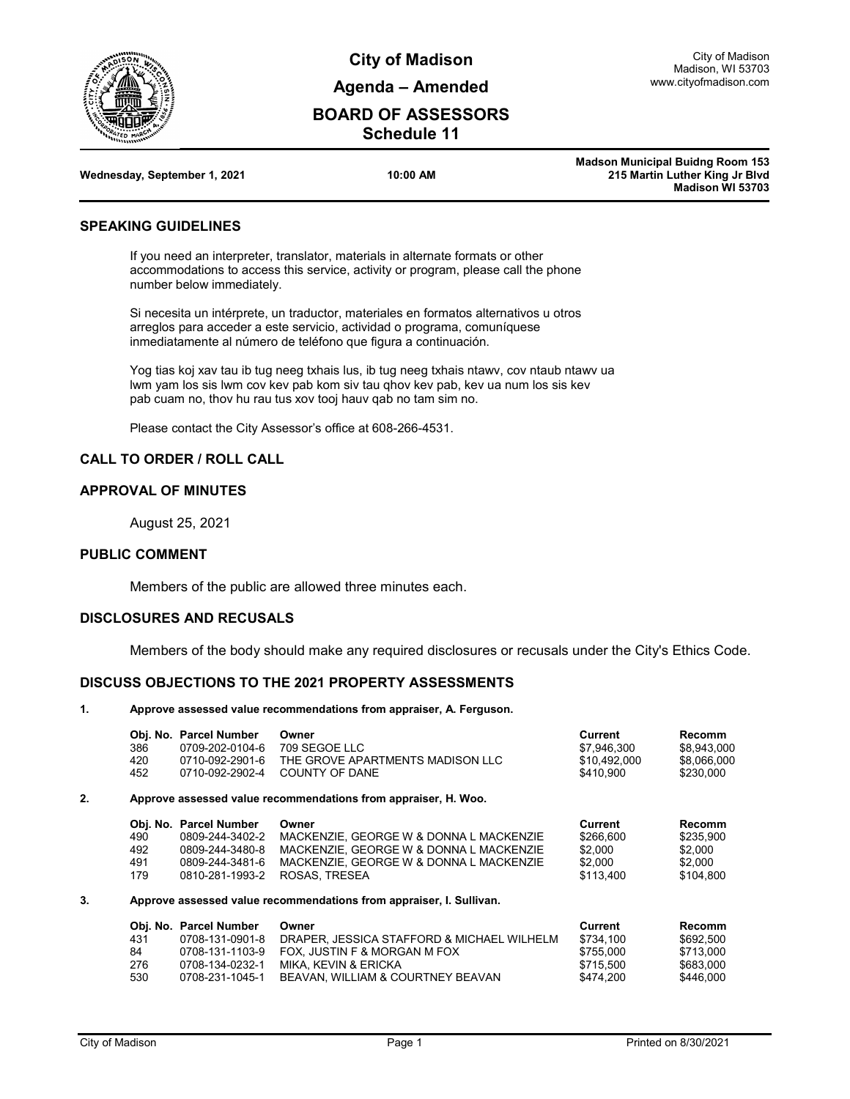

**City of Madison Agenda – Amended**

# **BOARD OF ASSESSORS Schedule 11**

| Wednesday, September 1, 2021 | 10:00 AM |
|------------------------------|----------|
|                              |          |

**Madson Municipal Buidng Room 153 215 Martin Luther King Jr Blvd Madison WI 53703**

## **SPEAKING GUIDELINES**

If you need an interpreter, translator, materials in alternate formats or other accommodations to access this service, activity or program, please call the phone number below immediately.

Si necesita un intérprete, un traductor, materiales en formatos alternativos u otros arreglos para acceder a este servicio, actividad o programa, comuníquese inmediatamente al número de teléfono que figura a continuación.

Yog tias koj xav tau ib tug neeg txhais lus, ib tug neeg txhais ntawv, cov ntaub ntawv ua lwm yam los sis lwm cov kev pab kom siv tau qhov kev pab, kev ua num los sis kev pab cuam no, thov hu rau tus xov tooj hauv qab no tam sim no.

Please contact the City Assessor's office at 608-266-4531.

# **CALL TO ORDER / ROLL CALL**

### **APPROVAL OF MINUTES**

August 25, 2021

#### **PUBLIC COMMENT**

Members of the public are allowed three minutes each.

## **DISCLOSURES AND RECUSALS**

Members of the body should make any required disclosures or recusals under the City's Ethics Code.

## **DISCUSS OBJECTIONS TO THE 2021 PROPERTY ASSESSMENTS**

#### **1. Approve assessed value recommendations from appraiser, A. Ferguson.**

|    | 386<br>420<br>452        | Obj. No. Parcel Number<br>0709-202-0104-6<br>0710-092-2901-6<br>0710-092-2902-4                    | Owner<br>709 SEGOE LLC<br>THE GROVE APARTMENTS MADISON LLC<br>COUNTY OF DANE                                                                            | Current<br>\$7,946,300<br>\$10,492,000<br>\$410.900                | <b>Recomm</b><br>\$8,943,000<br>\$8,066,000<br>\$230,000          |  |  |  |
|----|--------------------------|----------------------------------------------------------------------------------------------------|---------------------------------------------------------------------------------------------------------------------------------------------------------|--------------------------------------------------------------------|-------------------------------------------------------------------|--|--|--|
| 2. |                          |                                                                                                    | Approve assessed value recommendations from appraiser, H. Woo.                                                                                          |                                                                    |                                                                   |  |  |  |
|    | 490<br>492<br>491<br>179 | Obj. No. Parcel Number<br>0809-244-3402-2<br>0809-244-3480-8<br>0809-244-3481-6<br>0810-281-1993-2 | Owner<br>MACKENZIE, GEORGE W & DONNA L MACKENZIE<br>MACKENZIE. GEORGE W & DONNA L MACKENZIE<br>MACKENZIE, GEORGE W & DONNA L MACKENZIE<br>ROSAS, TRESEA | <b>Current</b><br>\$266,600<br>\$2.000<br>\$2.000<br>\$113,400     | Recomm<br>\$235,900<br>\$2,000<br>\$2.000<br>\$104,800            |  |  |  |
| 3. |                          | Approve assessed value recommendations from appraiser, I. Sullivan.                                |                                                                                                                                                         |                                                                    |                                                                   |  |  |  |
|    | 431<br>84<br>276<br>530  | Obj. No. Parcel Number<br>0708-131-0901-8<br>0708-131-1103-9<br>0708-134-0232-1<br>0708-231-1045-1 | Owner<br>DRAPER. JESSICA STAFFORD & MICHAEL WILHELM<br>FOX, JUSTIN F & MORGAN M FOX<br>MIKA, KEVIN & ERICKA<br>BEAVAN, WILLIAM & COURTNEY BEAVAN        | <b>Current</b><br>\$734,100<br>\$755,000<br>\$715,500<br>\$474,200 | <b>Recomm</b><br>\$692,500<br>\$713,000<br>\$683,000<br>\$446,000 |  |  |  |